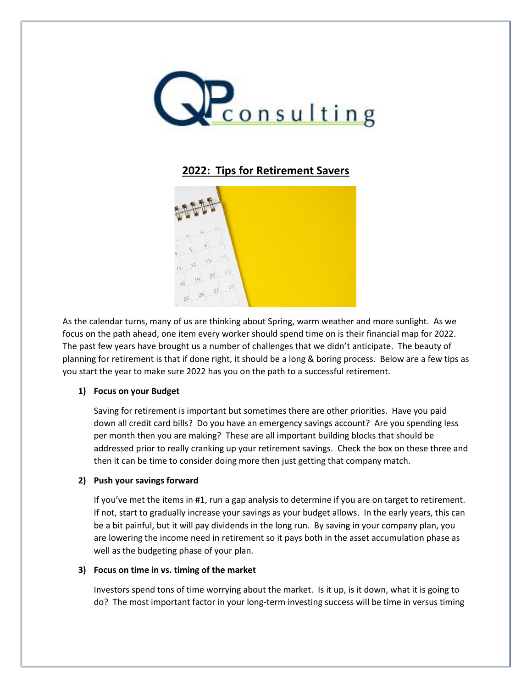

# **2022: Tips for Retirement Savers**



As the calendar turns, many of us are thinking about Spring, warm weather and more sunlight. As we focus on the path ahead, one item every worker should spend time on is their financial map for 2022. The past few years have brought us a number of challenges that we didn't anticipate. The beauty of planning for retirement is that if done right, it should be a long & boring process. Below are a few tips as you start the year to make sure 2022 has you on the path to a successful retirement.

### **1) Focus on your Budget**

Saving for retirement is important but sometimes there are other priorities. Have you paid down all credit card bills? Do you have an emergency savings account? Are you spending less per month then you are making? These are all important building blocks that should be addressed prior to really cranking up your retirement savings. Check the box on these three and then it can be time to consider doing more then just getting that company match.

## **2) Push your savings forward**

If you've met the items in #1, run a gap analysis to determine if you are on target to retirement. If not, start to gradually increase your savings as your budget allows. In the early years, this can be a bit painful, but it will pay dividends in the long run. By saving in your company plan, you are lowering the income need in retirement so it pays both in the asset accumulation phase as well as the budgeting phase of your plan.

### **3) Focus on time in vs. timing of the market**

Investors spend tons of time worrying about the market. Is it up, is it down, what it is going to do? The most important factor in your long-term investing success will be time in versus timing